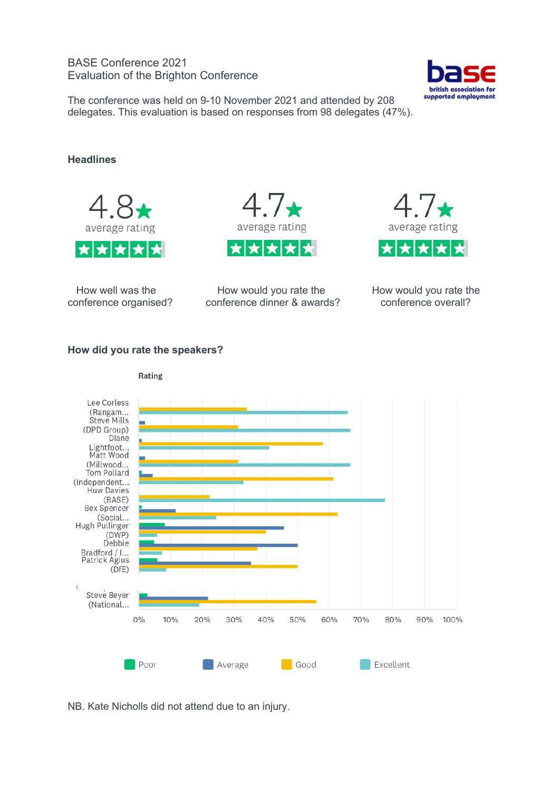# BASE Conference 2021 Evaluation of the Brighton Conference



The conference was held on 9-10 November 2021 and attended by 208 delegates. This evaluation is based on responses from 98 delegates (47%).

# **Headlines**



conference organised? conference dinner & awards?





How well was the **How would you rate the** How would you rate the How would you rate the How would you rate the home-<br>How would you rate the How would you rate the home-preference overall?

## **How did you rate the speakers?**



Rating

NB. Kate Nicholls did not attend due to an injury.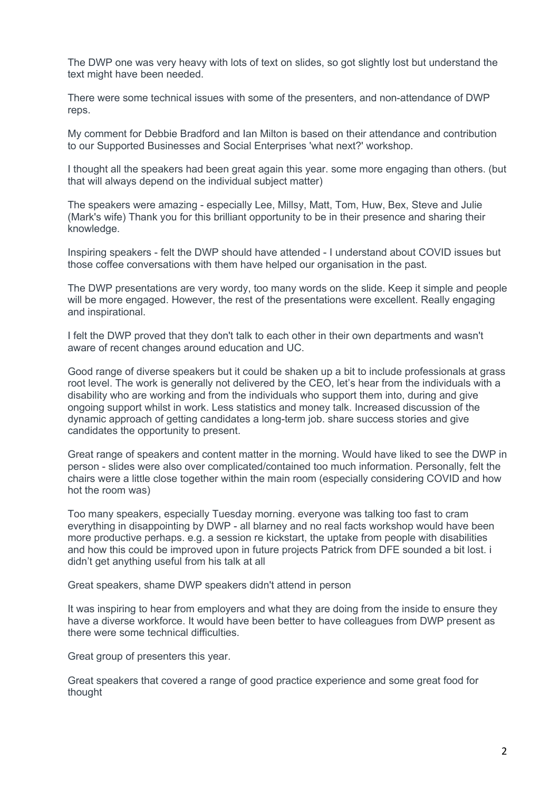The DWP one was very heavy with lots of text on slides, so got slightly lost but understand the text might have been needed.

There were some technical issues with some of the presenters, and non-attendance of DWP reps.

My comment for Debbie Bradford and Ian Milton is based on their attendance and contribution to our Supported Businesses and Social Enterprises 'what next?' workshop.

I thought all the speakers had been great again this year. some more engaging than others. (but that will always depend on the individual subject matter)

The speakers were amazing - especially Lee, Millsy, Matt, Tom, Huw, Bex, Steve and Julie (Mark's wife) Thank you for this brilliant opportunity to be in their presence and sharing their knowledge.

Inspiring speakers - felt the DWP should have attended - I understand about COVID issues but those coffee conversations with them have helped our organisation in the past.

The DWP presentations are very wordy, too many words on the slide. Keep it simple and people will be more engaged. However, the rest of the presentations were excellent. Really engaging and inspirational.

I felt the DWP proved that they don't talk to each other in their own departments and wasn't aware of recent changes around education and UC.

Good range of diverse speakers but it could be shaken up a bit to include professionals at grass root level. The work is generally not delivered by the CEO, let's hear from the individuals with a disability who are working and from the individuals who support them into, during and give ongoing support whilst in work. Less statistics and money talk. Increased discussion of the dynamic approach of getting candidates a long-term job. share success stories and give candidates the opportunity to present.

Great range of speakers and content matter in the morning. Would have liked to see the DWP in person - slides were also over complicated/contained too much information. Personally, felt the chairs were a little close together within the main room (especially considering COVID and how hot the room was)

Too many speakers, especially Tuesday morning. everyone was talking too fast to cram everything in disappointing by DWP - all blarney and no real facts workshop would have been more productive perhaps. e.g. a session re kickstart, the uptake from people with disabilities and how this could be improved upon in future projects Patrick from DFE sounded a bit lost. i didn't get anything useful from his talk at all

Great speakers, shame DWP speakers didn't attend in person

It was inspiring to hear from employers and what they are doing from the inside to ensure they have a diverse workforce. It would have been better to have colleagues from DWP present as there were some technical difficulties.

Great group of presenters this year.

Great speakers that covered a range of good practice experience and some great food for thought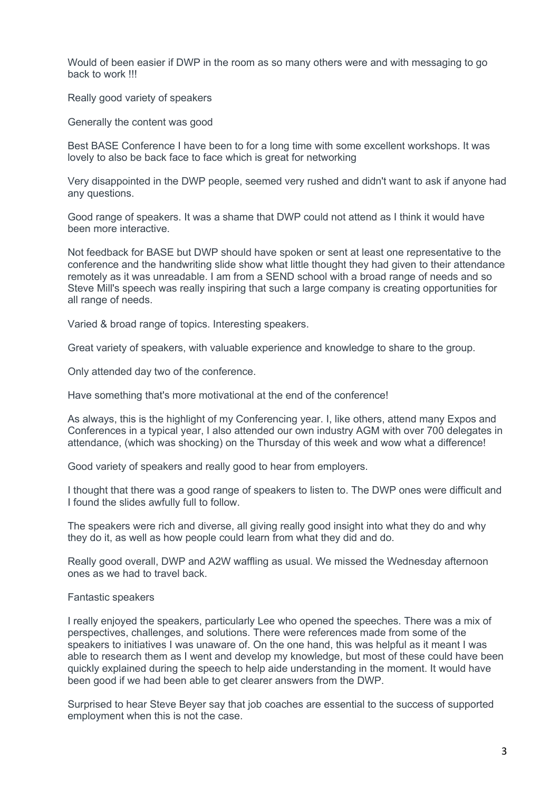Would of been easier if DWP in the room as so many others were and with messaging to go back to work !!!

Really good variety of speakers

Generally the content was good

Best BASE Conference I have been to for a long time with some excellent workshops. It was lovely to also be back face to face which is great for networking

Very disappointed in the DWP people, seemed very rushed and didn't want to ask if anyone had any questions.

Good range of speakers. It was a shame that DWP could not attend as I think it would have been more interactive.

Not feedback for BASE but DWP should have spoken or sent at least one representative to the conference and the handwriting slide show what little thought they had given to their attendance remotely as it was unreadable. I am from a SEND school with a broad range of needs and so Steve Mill's speech was really inspiring that such a large company is creating opportunities for all range of needs.

Varied & broad range of topics. Interesting speakers.

Great variety of speakers, with valuable experience and knowledge to share to the group.

Only attended day two of the conference.

Have something that's more motivational at the end of the conference!

As always, this is the highlight of my Conferencing year. I, like others, attend many Expos and Conferences in a typical year, I also attended our own industry AGM with over 700 delegates in attendance, (which was shocking) on the Thursday of this week and wow what a difference!

Good variety of speakers and really good to hear from employers.

I thought that there was a good range of speakers to listen to. The DWP ones were difficult and I found the slides awfully full to follow.

The speakers were rich and diverse, all giving really good insight into what they do and why they do it, as well as how people could learn from what they did and do.

Really good overall, DWP and A2W waffling as usual. We missed the Wednesday afternoon ones as we had to travel back.

#### Fantastic speakers

I really enjoyed the speakers, particularly Lee who opened the speeches. There was a mix of perspectives, challenges, and solutions. There were references made from some of the speakers to initiatives I was unaware of. On the one hand, this was helpful as it meant I was able to research them as I went and develop my knowledge, but most of these could have been quickly explained during the speech to help aide understanding in the moment. It would have been good if we had been able to get clearer answers from the DWP.

Surprised to hear Steve Beyer say that job coaches are essential to the success of supported employment when this is not the case.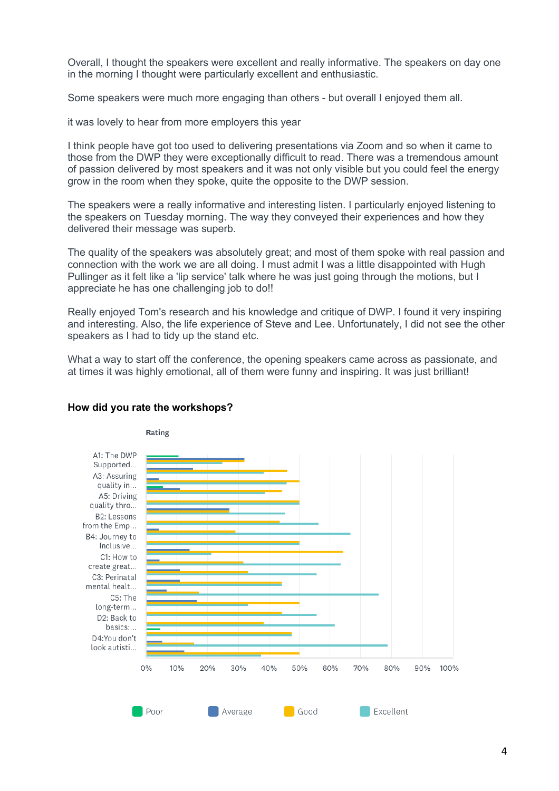Overall, I thought the speakers were excellent and really informative. The speakers on day one in the morning I thought were particularly excellent and enthusiastic.

Some speakers were much more engaging than others - but overall I enjoyed them all.

it was lovely to hear from more employers this year

I think people have got too used to delivering presentations via Zoom and so when it came to those from the DWP they were exceptionally difficult to read. There was a tremendous amount of passion delivered by most speakers and it was not only visible but you could feel the energy grow in the room when they spoke, quite the opposite to the DWP session.

The speakers were a really informative and interesting listen. I particularly enjoyed listening to the speakers on Tuesday morning. The way they conveyed their experiences and how they delivered their message was superb.

The quality of the speakers was absolutely great; and most of them spoke with real passion and connection with the work we are all doing. I must admit I was a little disappointed with Hugh Pullinger as it felt like a 'lip service' talk where he was just going through the motions, but I appreciate he has one challenging job to do!!

Really enjoyed Tom's research and his knowledge and critique of DWP. I found it very inspiring and interesting. Also, the life experience of Steve and Lee. Unfortunately, I did not see the other speakers as I had to tidy up the stand etc.

What a way to start off the conference, the opening speakers came across as passionate, and at times it was highly emotional, all of them were funny and inspiring. It was just brilliant!



## **How did you rate the workshops?**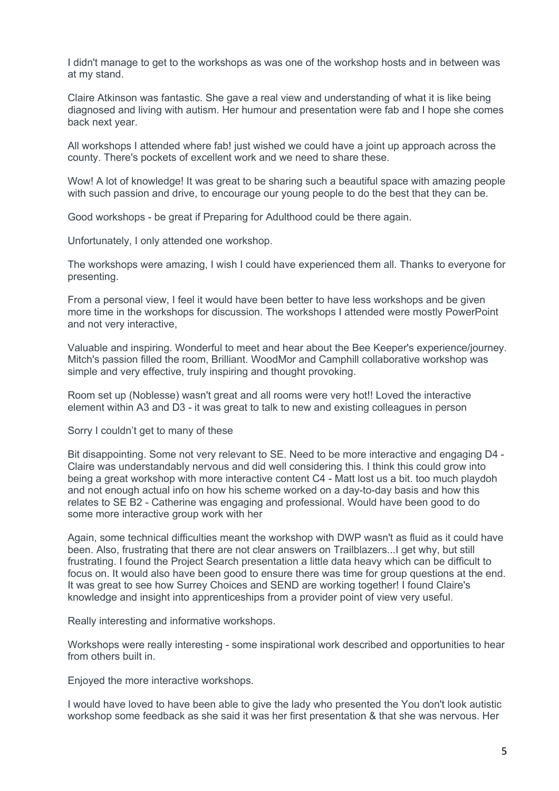I didn't manage to get to the workshops as was one of the workshop hosts and in between was at my stand.

Claire Atkinson was fantastic. She gave a real view and understanding of what it is like being diagnosed and living with autism. Her humour and presentation were fab and I hope she comes back next year.

All workshops I attended where fab! just wished we could have a joint up approach across the county. There's pockets of excellent work and we need to share these.

Wow! A lot of knowledge! It was great to be sharing such a beautiful space with amazing people with such passion and drive, to encourage our young people to do the best that they can be.

Good workshops - be great if Preparing for Adulthood could be there again.

Unfortunately, I only attended one workshop.

The workshops were amazing, I wish I could have experienced them all. Thanks to everyone for presenting.

From a personal view, I feel it would have been better to have less workshops and be given more time in the workshops for discussion. The workshops I attended were mostly PowerPoint and not very interactive,

Valuable and inspiring. Wonderful to meet and hear about the Bee Keeper's experience/journey. Mitch's passion filled the room, Brilliant. WoodMor and Camphill collaborative workshop was simple and very effective, truly inspiring and thought provoking.

Room set up (Noblesse) wasn't great and all rooms were very hot!! Loved the interactive element within A3 and D3 - it was great to talk to new and existing colleagues in person

Sorry I couldn't get to many of these

Bit disappointing. Some not very relevant to SE. Need to be more interactive and engaging D4 - Claire was understandably nervous and did well considering this. I think this could grow into being a great workshop with more interactive content C4 - Matt lost us a bit. too much playdoh and not enough actual info on how his scheme worked on a day-to-day basis and how this relates to SE B2 - Catherine was engaging and professional. Would have been good to do some more interactive group work with her

Again, some technical difficulties meant the workshop with DWP wasn't as fluid as it could have been. Also, frustrating that there are not clear answers on Trailblazers...I get why, but still frustrating. I found the Project Search presentation a little data heavy which can be difficult to focus on. It would also have been good to ensure there was time for group questions at the end. It was great to see how Surrey Choices and SEND are working together! I found Claire's knowledge and insight into apprenticeships from a provider point of view very useful.

Really interesting and informative workshops.

Workshops were really interesting - some inspirational work described and opportunities to hear from others built in.

Enjoyed the more interactive workshops.

I would have loved to have been able to give the lady who presented the You don't look autistic workshop some feedback as she said it was her first presentation & that she was nervous. Her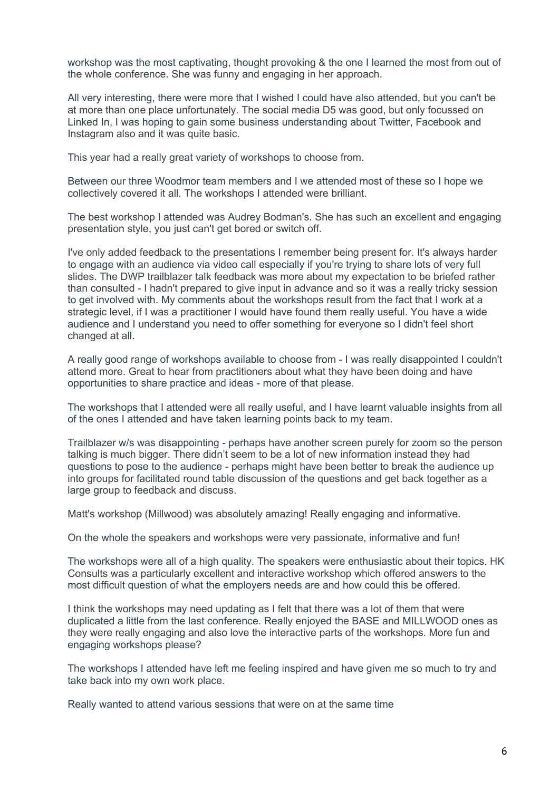workshop was the most captivating, thought provoking & the one I learned the most from out of the whole conference. She was funny and engaging in her approach.

All very interesting, there were more that I wished I could have also attended, but you can't be at more than one place unfortunately. The social media D5 was good, but only focussed on Linked In, I was hoping to gain some business understanding about Twitter, Facebook and Instagram also and it was quite basic.

This year had a really great variety of workshops to choose from.

Between our three Woodmor team members and I we attended most of these so I hope we collectively covered it all. The workshops I attended were brilliant.

The best workshop I attended was Audrey Bodman's. She has such an excellent and engaging presentation style, you just can't get bored or switch off.

I've only added feedback to the presentations I remember being present for. It's always harder to engage with an audience via video call especially if you're trying to share lots of very full slides. The DWP trailblazer talk feedback was more about my expectation to be briefed rather than consulted - I hadn't prepared to give input in advance and so it was a really tricky session to get involved with. My comments about the workshops result from the fact that I work at a strategic level, if I was a practitioner I would have found them really useful. You have a wide audience and I understand you need to offer something for everyone so I didn't feel short changed at all.

A really good range of workshops available to choose from - I was really disappointed I couldn't attend more. Great to hear from practitioners about what they have been doing and have opportunities to share practice and ideas - more of that please.

The workshops that I attended were all really useful, and I have learnt valuable insights from all of the ones I attended and have taken learning points back to my team.

Trailblazer w/s was disappointing - perhaps have another screen purely for zoom so the person talking is much bigger. There didn't seem to be a lot of new information instead they had questions to pose to the audience - perhaps might have been better to break the audience up into groups for facilitated round table discussion of the questions and get back together as a large group to feedback and discuss.

Matt's workshop (Millwood) was absolutely amazing! Really engaging and informative.

On the whole the speakers and workshops were very passionate, informative and fun!

The workshops were all of a high quality. The speakers were enthusiastic about their topics. HK Consults was a particularly excellent and interactive workshop which offered answers to the most difficult question of what the employers needs are and how could this be offered.

I think the workshops may need updating as I felt that there was a lot of them that were duplicated a little from the last conference. Really enjoyed the BASE and MILLWOOD ones as they were really engaging and also love the interactive parts of the workshops. More fun and engaging workshops please?

The workshops I attended have left me feeling inspired and have given me so much to try and take back into my own work place.

Really wanted to attend various sessions that were on at the same time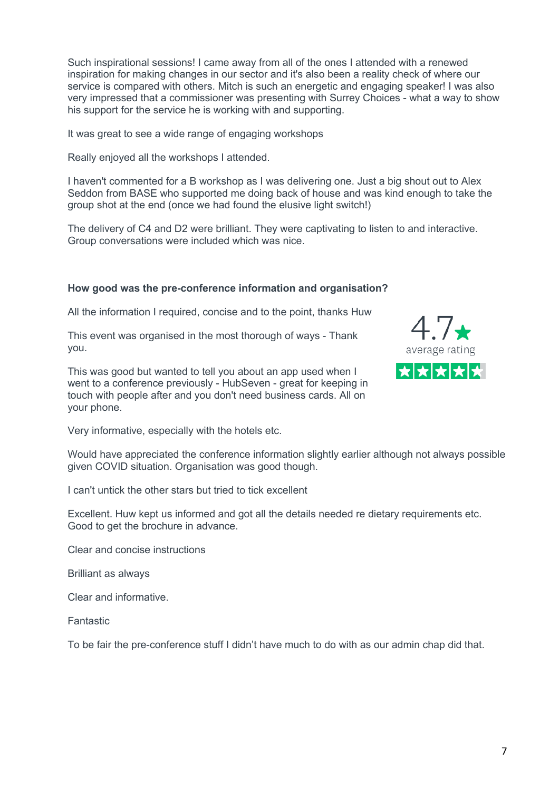Such inspirational sessions! I came away from all of the ones I attended with a renewed inspiration for making changes in our sector and it's also been a reality check of where our service is compared with others. Mitch is such an energetic and engaging speaker! I was also very impressed that a commissioner was presenting with Surrey Choices - what a way to show his support for the service he is working with and supporting.

It was great to see a wide range of engaging workshops

Really enjoyed all the workshops I attended.

I haven't commented for a B workshop as I was delivering one. Just a big shout out to Alex Seddon from BASE who supported me doing back of house and was kind enough to take the group shot at the end (once we had found the elusive light switch!)

The delivery of C4 and D2 were brilliant. They were captivating to listen to and interactive. Group conversations were included which was nice.

# **How good was the pre-conference information and organisation?**

All the information I required, concise and to the point, thanks Huw

This event was organised in the most thorough of ways - Thank you.

This was good but wanted to tell you about an app used when I went to a conference previously - HubSeven - great for keeping in touch with people after and you don't need business cards. All on your phone.



Would have appreciated the conference information slightly earlier although not always possible given COVID situation. Organisation was good though.

I can't untick the other stars but tried to tick excellent

Excellent. Huw kept us informed and got all the details needed re dietary requirements etc. Good to get the brochure in advance.

Clear and concise instructions

Brilliant as always

Clear and informative.

Fantastic

To be fair the pre-conference stuff I didn't have much to do with as our admin chap did that.

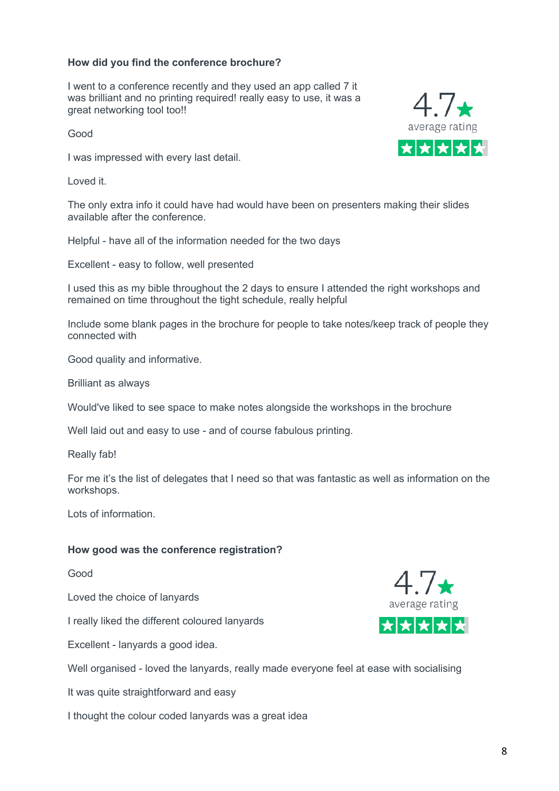## **How did you find the conference brochure?**

I went to a conference recently and they used an app called 7 it was brilliant and no printing required! really easy to use, it was a great networking tool too!!

Good

I was impressed with every last detail.

Loved it.

The only extra info it could have had would have been on presenters making their slides available after the conference.

Helpful - have all of the information needed for the two days

Excellent - easy to follow, well presented

I used this as my bible throughout the 2 days to ensure I attended the right workshops and remained on time throughout the tight schedule, really helpful

Include some blank pages in the brochure for people to take notes/keep track of people they connected with

Good quality and informative.

Brilliant as always

Would've liked to see space to make notes alongside the workshops in the brochure

Well laid out and easy to use - and of course fabulous printing.

Really fab!

For me it's the list of delegates that I need so that was fantastic as well as information on the workshops.

Lots of information.

## **How good was the conference registration?**

Good

Loved the choice of lanyards

I really liked the different coloured lanyards

Excellent - lanyards a good idea.

Well organised - loved the lanyards, really made everyone feel at ease with socialising

It was quite straightforward and easy

I thought the colour coded lanyards was a great idea



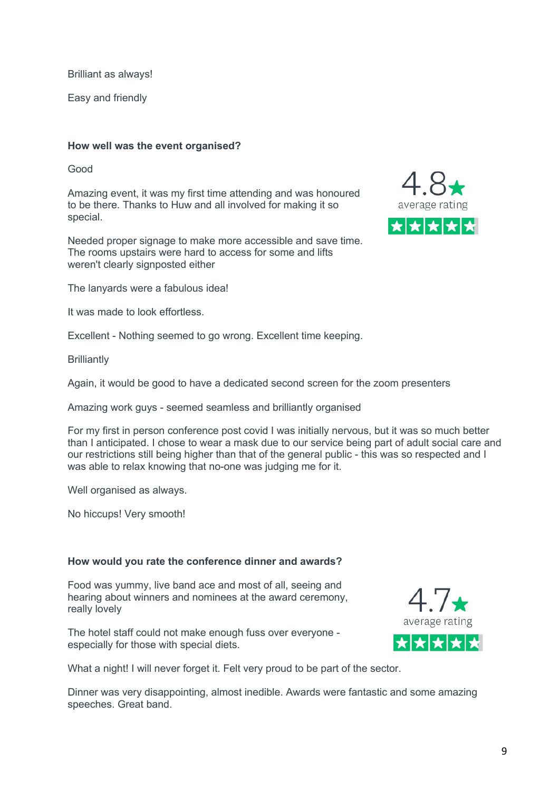Brilliant as always!

Easy and friendly

### **How well was the event organised?**

Good

Amazing event, it was my first time attending and was honoured to be there. Thanks to Huw and all involved for making it so special.

Needed proper signage to make more accessible and save time. The rooms upstairs were hard to access for some and lifts weren't clearly signposted either



It was made to look effortless.

Excellent - Nothing seemed to go wrong. Excellent time keeping.

**Brilliantly** 

Again, it would be good to have a dedicated second screen for the zoom presenters

Amazing work guys - seemed seamless and brilliantly organised

For my first in person conference post covid I was initially nervous, but it was so much better than I anticipated. I chose to wear a mask due to our service being part of adult social care and our restrictions still being higher than that of the general public - this was so respected and I was able to relax knowing that no-one was judging me for it.

Well organised as always.

No hiccups! Very smooth!

#### **How would you rate the conference dinner and awards?**

Food was yummy, live band ace and most of all, seeing and hearing about winners and nominees at the award ceremony, really lovely

The hotel staff could not make enough fuss over everyone especially for those with special diets.



What a night! I will never forget it. Felt very proud to be part of the sector.

Dinner was very disappointing, almost inedible. Awards were fantastic and some amazing speeches. Great band.

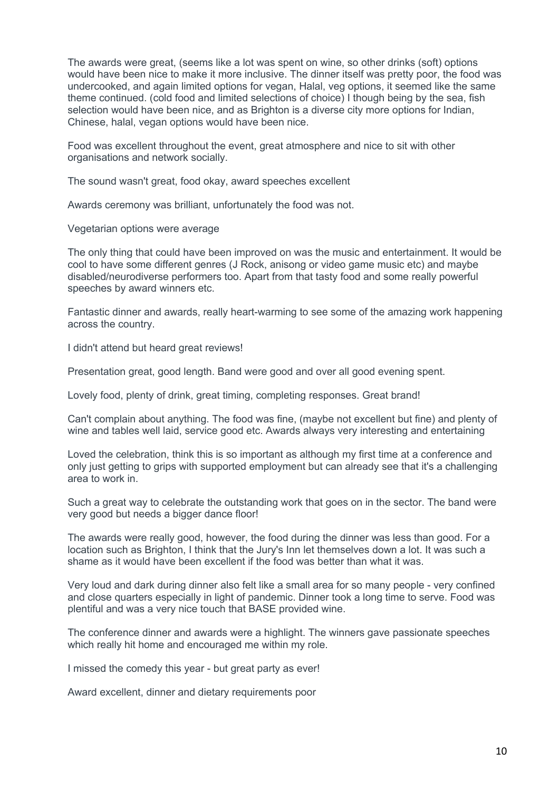The awards were great, (seems like a lot was spent on wine, so other drinks (soft) options would have been nice to make it more inclusive. The dinner itself was pretty poor, the food was undercooked, and again limited options for vegan, Halal, veg options, it seemed like the same theme continued. (cold food and limited selections of choice) I though being by the sea, fish selection would have been nice, and as Brighton is a diverse city more options for Indian, Chinese, halal, vegan options would have been nice.

Food was excellent throughout the event, great atmosphere and nice to sit with other organisations and network socially.

The sound wasn't great, food okay, award speeches excellent

Awards ceremony was brilliant, unfortunately the food was not.

Vegetarian options were average

The only thing that could have been improved on was the music and entertainment. It would be cool to have some different genres (J Rock, anisong or video game music etc) and maybe disabled/neurodiverse performers too. Apart from that tasty food and some really powerful speeches by award winners etc.

Fantastic dinner and awards, really heart-warming to see some of the amazing work happening across the country.

I didn't attend but heard great reviews!

Presentation great, good length. Band were good and over all good evening spent.

Lovely food, plenty of drink, great timing, completing responses. Great brand!

Can't complain about anything. The food was fine, (maybe not excellent but fine) and plenty of wine and tables well laid, service good etc. Awards always very interesting and entertaining

Loved the celebration, think this is so important as although my first time at a conference and only just getting to grips with supported employment but can already see that it's a challenging area to work in.

Such a great way to celebrate the outstanding work that goes on in the sector. The band were very good but needs a bigger dance floor!

The awards were really good, however, the food during the dinner was less than good. For a location such as Brighton, I think that the Jury's Inn let themselves down a lot. It was such a shame as it would have been excellent if the food was better than what it was.

Very loud and dark during dinner also felt like a small area for so many people - very confined and close quarters especially in light of pandemic. Dinner took a long time to serve. Food was plentiful and was a very nice touch that BASE provided wine.

The conference dinner and awards were a highlight. The winners gave passionate speeches which really hit home and encouraged me within my role.

I missed the comedy this year - but great party as ever!

Award excellent, dinner and dietary requirements poor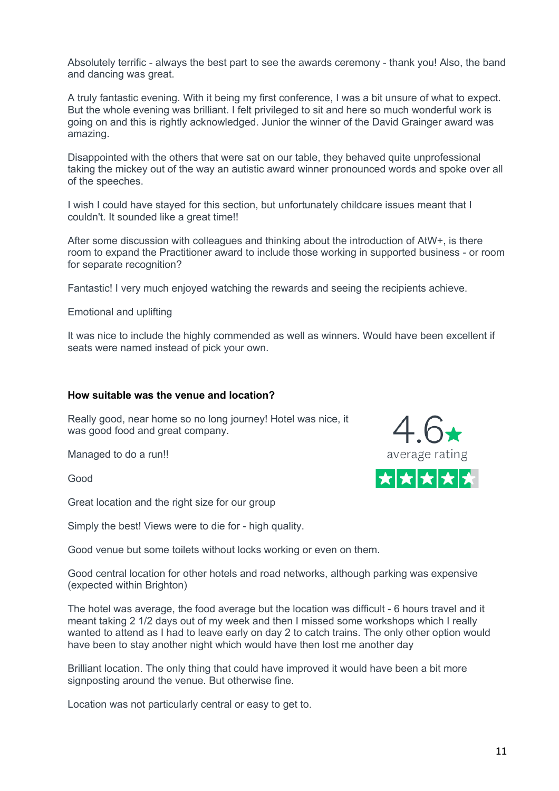Absolutely terrific - always the best part to see the awards ceremony - thank you! Also, the band and dancing was great.

A truly fantastic evening. With it being my first conference, I was a bit unsure of what to expect. But the whole evening was brilliant. I felt privileged to sit and here so much wonderful work is going on and this is rightly acknowledged. Junior the winner of the David Grainger award was amazing.

Disappointed with the others that were sat on our table, they behaved quite unprofessional taking the mickey out of the way an autistic award winner pronounced words and spoke over all of the speeches.

I wish I could have stayed for this section, but unfortunately childcare issues meant that I couldn't. It sounded like a great time!!

After some discussion with colleagues and thinking about the introduction of AtW+, is there room to expand the Practitioner award to include those working in supported business - or room for separate recognition?

Fantastic! I very much enjoyed watching the rewards and seeing the recipients achieve.

Emotional and uplifting

It was nice to include the highly commended as well as winners. Would have been excellent if seats were named instead of pick your own.

#### **How suitable was the venue and location?**

Really good, near home so no long journey! Hotel was nice, it was good food and great company.

Managed to do a run!!

Good

Great location and the right size for our group

Simply the best! Views were to die for - high quality.

Good venue but some toilets without locks working or even on them.

Good central location for other hotels and road networks, although parking was expensive (expected within Brighton)

The hotel was average, the food average but the location was difficult - 6 hours travel and it meant taking 2 1/2 days out of my week and then I missed some workshops which I really wanted to attend as I had to leave early on day 2 to catch trains. The only other option would have been to stay another night which would have then lost me another day

Brilliant location. The only thing that could have improved it would have been a bit more signposting around the venue. But otherwise fine.

Location was not particularly central or easy to get to.

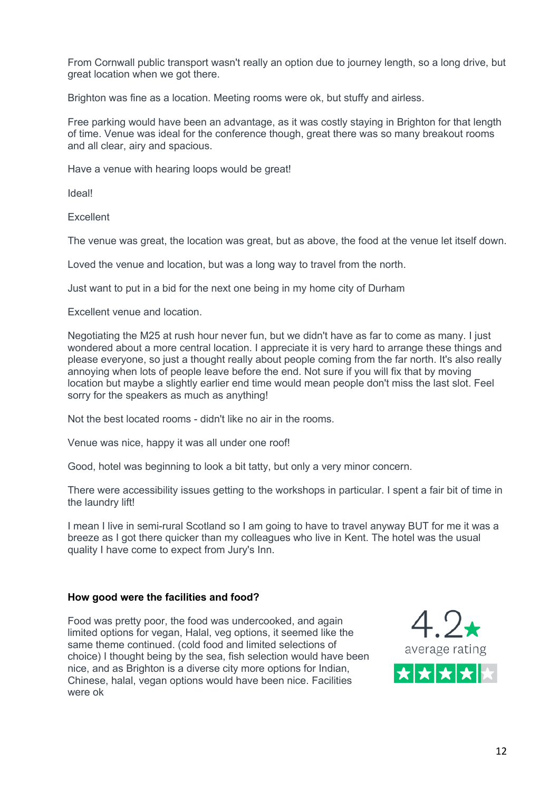From Cornwall public transport wasn't really an option due to journey length, so a long drive, but great location when we got there.

Brighton was fine as a location. Meeting rooms were ok, but stuffy and airless.

Free parking would have been an advantage, as it was costly staying in Brighton for that length of time. Venue was ideal for the conference though, great there was so many breakout rooms and all clear, airy and spacious.

Have a venue with hearing loops would be great!

Ideal!

**Excellent** 

The venue was great, the location was great, but as above, the food at the venue let itself down.

Loved the venue and location, but was a long way to travel from the north.

Just want to put in a bid for the next one being in my home city of Durham

Excellent venue and location.

Negotiating the M25 at rush hour never fun, but we didn't have as far to come as many. I just wondered about a more central location. I appreciate it is very hard to arrange these things and please everyone, so just a thought really about people coming from the far north. It's also really annoying when lots of people leave before the end. Not sure if you will fix that by moving location but maybe a slightly earlier end time would mean people don't miss the last slot. Feel sorry for the speakers as much as anything!

Not the best located rooms - didn't like no air in the rooms.

Venue was nice, happy it was all under one roof!

Good, hotel was beginning to look a bit tatty, but only a very minor concern.

There were accessibility issues getting to the workshops in particular. I spent a fair bit of time in the laundry lift!

I mean I live in semi-rural Scotland so I am going to have to travel anyway BUT for me it was a breeze as I got there quicker than my colleagues who live in Kent. The hotel was the usual quality I have come to expect from Jury's Inn.

## **How good were the facilities and food?**

Food was pretty poor, the food was undercooked, and again limited options for vegan, Halal, veg options, it seemed like the same theme continued. (cold food and limited selections of choice) I thought being by the sea, fish selection would have been nice, and as Brighton is a diverse city more options for Indian, Chinese, halal, vegan options would have been nice. Facilities were ok

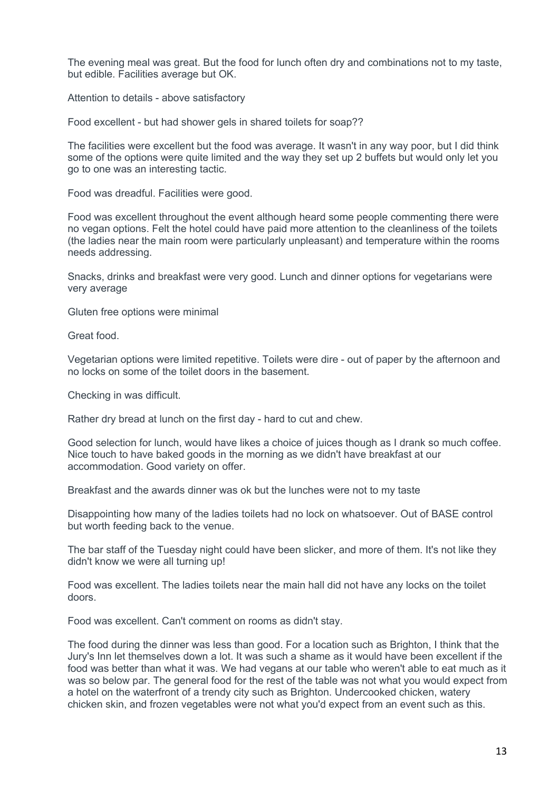The evening meal was great. But the food for lunch often dry and combinations not to my taste, but edible. Facilities average but OK.

Attention to details - above satisfactory

Food excellent - but had shower gels in shared toilets for soap??

The facilities were excellent but the food was average. It wasn't in any way poor, but I did think some of the options were quite limited and the way they set up 2 buffets but would only let you go to one was an interesting tactic.

Food was dreadful. Facilities were good.

Food was excellent throughout the event although heard some people commenting there were no vegan options. Felt the hotel could have paid more attention to the cleanliness of the toilets (the ladies near the main room were particularly unpleasant) and temperature within the rooms needs addressing.

Snacks, drinks and breakfast were very good. Lunch and dinner options for vegetarians were very average

Gluten free options were minimal

Great food.

Vegetarian options were limited repetitive. Toilets were dire - out of paper by the afternoon and no locks on some of the toilet doors in the basement.

Checking in was difficult.

Rather dry bread at lunch on the first day - hard to cut and chew.

Good selection for lunch, would have likes a choice of juices though as I drank so much coffee. Nice touch to have baked goods in the morning as we didn't have breakfast at our accommodation. Good variety on offer.

Breakfast and the awards dinner was ok but the lunches were not to my taste

Disappointing how many of the ladies toilets had no lock on whatsoever. Out of BASE control but worth feeding back to the venue.

The bar staff of the Tuesday night could have been slicker, and more of them. It's not like they didn't know we were all turning up!

Food was excellent. The ladies toilets near the main hall did not have any locks on the toilet doors.

Food was excellent. Can't comment on rooms as didn't stay.

The food during the dinner was less than good. For a location such as Brighton, I think that the Jury's Inn let themselves down a lot. It was such a shame as it would have been excellent if the food was better than what it was. We had vegans at our table who weren't able to eat much as it was so below par. The general food for the rest of the table was not what you would expect from a hotel on the waterfront of a trendy city such as Brighton. Undercooked chicken, watery chicken skin, and frozen vegetables were not what you'd expect from an event such as this.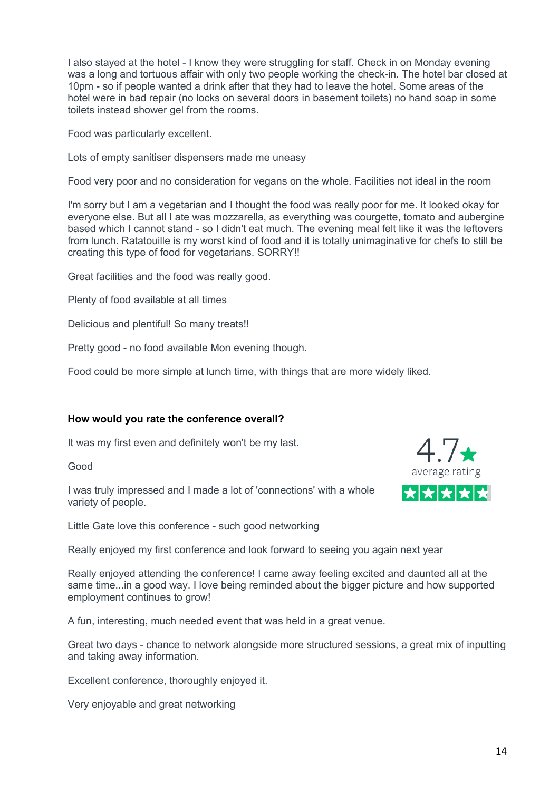I also stayed at the hotel - I know they were struggling for staff. Check in on Monday evening was a long and tortuous affair with only two people working the check-in. The hotel bar closed at 10pm - so if people wanted a drink after that they had to leave the hotel. Some areas of the hotel were in bad repair (no locks on several doors in basement toilets) no hand soap in some toilets instead shower gel from the rooms.

Food was particularly excellent.

Lots of empty sanitiser dispensers made me uneasy

Food very poor and no consideration for vegans on the whole. Facilities not ideal in the room

I'm sorry but I am a vegetarian and I thought the food was really poor for me. It looked okay for everyone else. But all I ate was mozzarella, as everything was courgette, tomato and aubergine based which I cannot stand - so I didn't eat much. The evening meal felt like it was the leftovers from lunch. Ratatouille is my worst kind of food and it is totally unimaginative for chefs to still be creating this type of food for vegetarians. SORRY!!

Great facilities and the food was really good.

Plenty of food available at all times

Delicious and plentiful! So many treats!!

Pretty good - no food available Mon evening though.

Food could be more simple at lunch time, with things that are more widely liked.

## **How would you rate the conference overall?**

It was my first even and definitely won't be my last.

Good

I was truly impressed and I made a lot of 'connections' with a whole variety of people.

Little Gate love this conference - such good networking

Really enjoyed my first conference and look forward to seeing you again next year

Really enjoyed attending the conference! I came away feeling excited and daunted all at the same time...in a good way. I love being reminded about the bigger picture and how supported employment continues to grow!

A fun, interesting, much needed event that was held in a great venue.

Great two days - chance to network alongside more structured sessions, a great mix of inputting and taking away information.

Excellent conference, thoroughly enjoyed it.

Very enjoyable and great networking

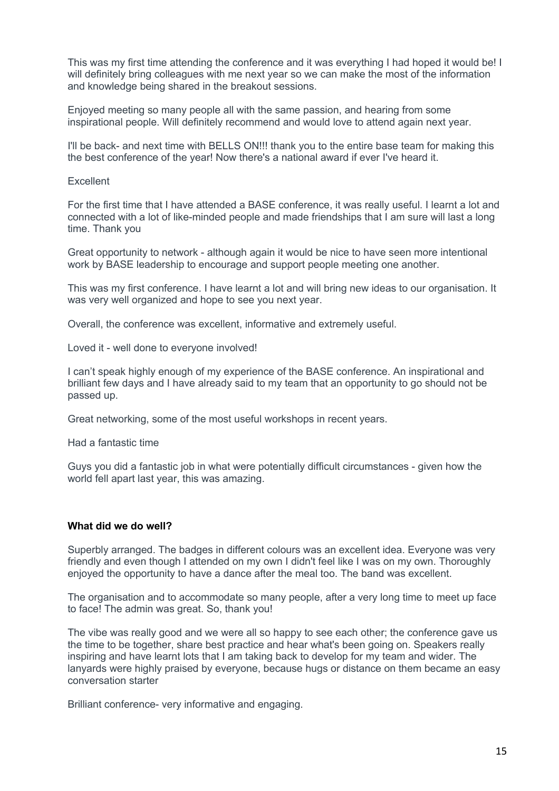This was my first time attending the conference and it was everything I had hoped it would be! I will definitely bring colleagues with me next year so we can make the most of the information and knowledge being shared in the breakout sessions.

Enjoyed meeting so many people all with the same passion, and hearing from some inspirational people. Will definitely recommend and would love to attend again next year.

I'll be back- and next time with BELLS ON!!! thank you to the entire base team for making this the best conference of the year! Now there's a national award if ever I've heard it.

#### Excellent

For the first time that I have attended a BASE conference, it was really useful. I learnt a lot and connected with a lot of like-minded people and made friendships that I am sure will last a long time. Thank you

Great opportunity to network - although again it would be nice to have seen more intentional work by BASE leadership to encourage and support people meeting one another.

This was my first conference. I have learnt a lot and will bring new ideas to our organisation. It was very well organized and hope to see you next year.

Overall, the conference was excellent, informative and extremely useful.

Loved it - well done to everyone involved!

I can't speak highly enough of my experience of the BASE conference. An inspirational and brilliant few days and I have already said to my team that an opportunity to go should not be passed up.

Great networking, some of the most useful workshops in recent years.

Had a fantastic time

Guys you did a fantastic job in what were potentially difficult circumstances - given how the world fell apart last year, this was amazing.

### **What did we do well?**

Superbly arranged. The badges in different colours was an excellent idea. Everyone was very friendly and even though I attended on my own I didn't feel like I was on my own. Thoroughly enjoyed the opportunity to have a dance after the meal too. The band was excellent.

The organisation and to accommodate so many people, after a very long time to meet up face to face! The admin was great. So, thank you!

The vibe was really good and we were all so happy to see each other; the conference gave us the time to be together, share best practice and hear what's been going on. Speakers really inspiring and have learnt lots that I am taking back to develop for my team and wider. The lanyards were highly praised by everyone, because hugs or distance on them became an easy conversation starter

Brilliant conference- very informative and engaging.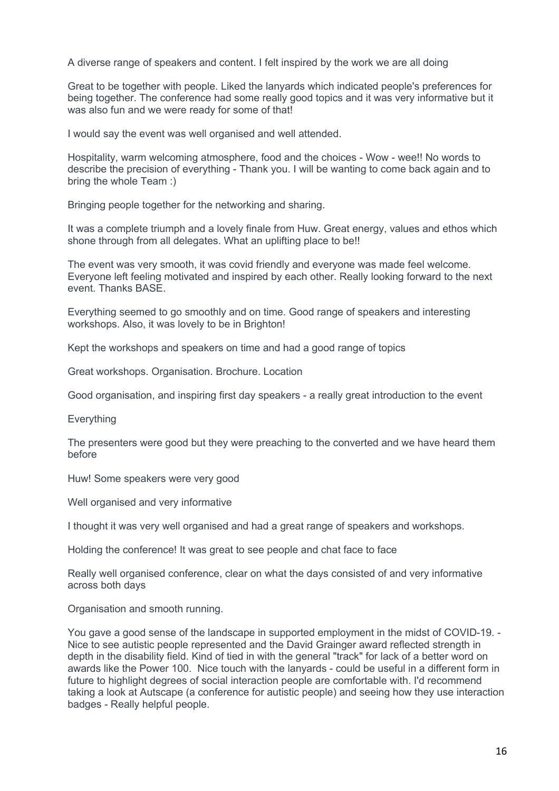A diverse range of speakers and content. I felt inspired by the work we are all doing

Great to be together with people. Liked the lanyards which indicated people's preferences for being together. The conference had some really good topics and it was very informative but it was also fun and we were ready for some of that!

I would say the event was well organised and well attended.

Hospitality, warm welcoming atmosphere, food and the choices - Wow - wee!! No words to describe the precision of everything - Thank you. I will be wanting to come back again and to bring the whole Team :)

Bringing people together for the networking and sharing.

It was a complete triumph and a lovely finale from Huw. Great energy, values and ethos which shone through from all delegates. What an uplifting place to be!!

The event was very smooth, it was covid friendly and everyone was made feel welcome. Everyone left feeling motivated and inspired by each other. Really looking forward to the next event. Thanks BASE.

Everything seemed to go smoothly and on time. Good range of speakers and interesting workshops. Also, it was lovely to be in Brighton!

Kept the workshops and speakers on time and had a good range of topics

Great workshops. Organisation. Brochure. Location

Good organisation, and inspiring first day speakers - a really great introduction to the event

Everything

The presenters were good but they were preaching to the converted and we have heard them before

Huw! Some speakers were very good

Well organised and very informative

I thought it was very well organised and had a great range of speakers and workshops.

Holding the conference! It was great to see people and chat face to face

Really well organised conference, clear on what the days consisted of and very informative across both days

Organisation and smooth running.

You gave a good sense of the landscape in supported employment in the midst of COVID-19. - Nice to see autistic people represented and the David Grainger award reflected strength in depth in the disability field. Kind of tied in with the general "track" for lack of a better word on awards like the Power 100. Nice touch with the lanyards - could be useful in a different form in future to highlight degrees of social interaction people are comfortable with. I'd recommend taking a look at Autscape (a conference for autistic people) and seeing how they use interaction badges - Really helpful people.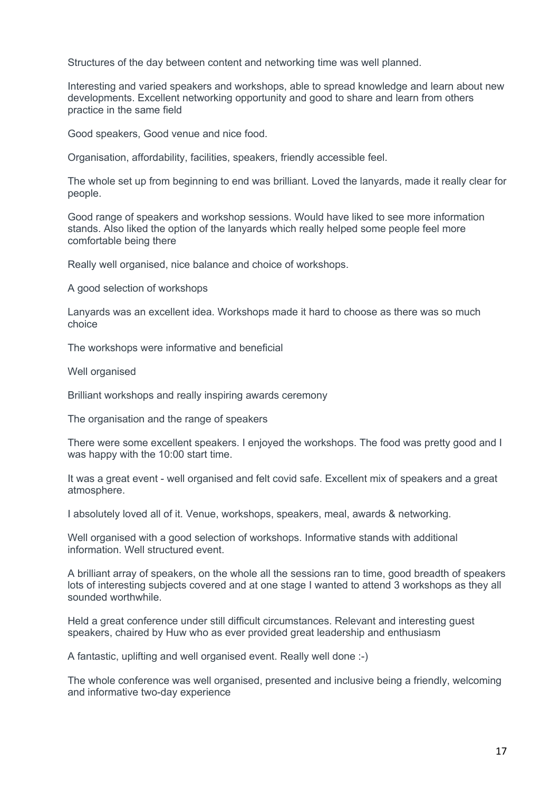Structures of the day between content and networking time was well planned.

Interesting and varied speakers and workshops, able to spread knowledge and learn about new developments. Excellent networking opportunity and good to share and learn from others practice in the same field

Good speakers, Good venue and nice food.

Organisation, affordability, facilities, speakers, friendly accessible feel.

The whole set up from beginning to end was brilliant. Loved the lanyards, made it really clear for people.

Good range of speakers and workshop sessions. Would have liked to see more information stands. Also liked the option of the lanyards which really helped some people feel more comfortable being there

Really well organised, nice balance and choice of workshops.

A good selection of workshops

Lanyards was an excellent idea. Workshops made it hard to choose as there was so much choice

The workshops were informative and beneficial

Well organised

Brilliant workshops and really inspiring awards ceremony

The organisation and the range of speakers

There were some excellent speakers. I enjoyed the workshops. The food was pretty good and I was happy with the 10:00 start time.

It was a great event - well organised and felt covid safe. Excellent mix of speakers and a great atmosphere.

I absolutely loved all of it. Venue, workshops, speakers, meal, awards & networking.

Well organised with a good selection of workshops. Informative stands with additional information. Well structured event.

A brilliant array of speakers, on the whole all the sessions ran to time, good breadth of speakers lots of interesting subjects covered and at one stage I wanted to attend 3 workshops as they all sounded worthwhile.

Held a great conference under still difficult circumstances. Relevant and interesting guest speakers, chaired by Huw who as ever provided great leadership and enthusiasm

A fantastic, uplifting and well organised event. Really well done :-)

The whole conference was well organised, presented and inclusive being a friendly, welcoming and informative two-day experience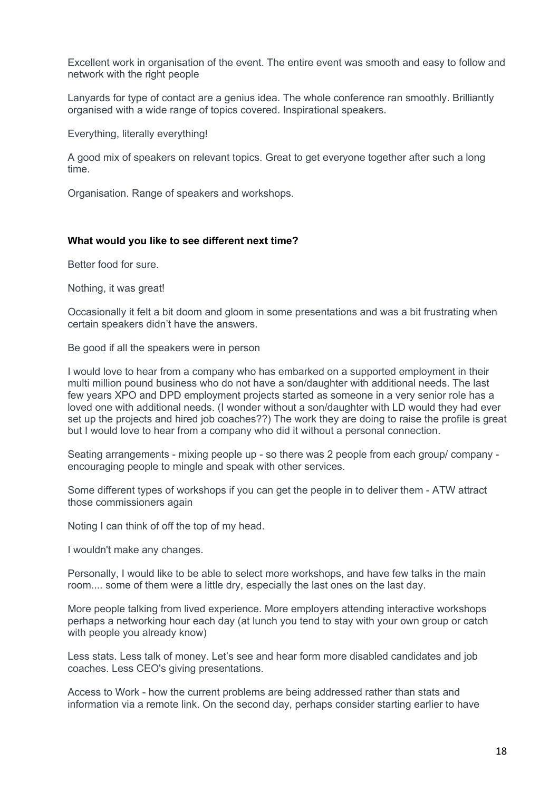Excellent work in organisation of the event. The entire event was smooth and easy to follow and network with the right people

Lanyards for type of contact are a genius idea. The whole conference ran smoothly. Brilliantly organised with a wide range of topics covered. Inspirational speakers.

Everything, literally everything!

A good mix of speakers on relevant topics. Great to get everyone together after such a long time.

Organisation. Range of speakers and workshops.

### **What would you like to see different next time?**

Better food for sure.

Nothing, it was great!

Occasionally it felt a bit doom and gloom in some presentations and was a bit frustrating when certain speakers didn't have the answers.

Be good if all the speakers were in person

I would love to hear from a company who has embarked on a supported employment in their multi million pound business who do not have a son/daughter with additional needs. The last few years XPO and DPD employment projects started as someone in a very senior role has a loved one with additional needs. (I wonder without a son/daughter with LD would they had ever set up the projects and hired job coaches??) The work they are doing to raise the profile is great but I would love to hear from a company who did it without a personal connection.

Seating arrangements - mixing people up - so there was 2 people from each group/ company encouraging people to mingle and speak with other services.

Some different types of workshops if you can get the people in to deliver them - ATW attract those commissioners again

Noting I can think of off the top of my head.

I wouldn't make any changes.

Personally, I would like to be able to select more workshops, and have few talks in the main room.... some of them were a little dry, especially the last ones on the last day.

More people talking from lived experience. More employers attending interactive workshops perhaps a networking hour each day (at lunch you tend to stay with your own group or catch with people you already know)

Less stats. Less talk of money. Let's see and hear form more disabled candidates and job coaches. Less CEO's giving presentations.

Access to Work - how the current problems are being addressed rather than stats and information via a remote link. On the second day, perhaps consider starting earlier to have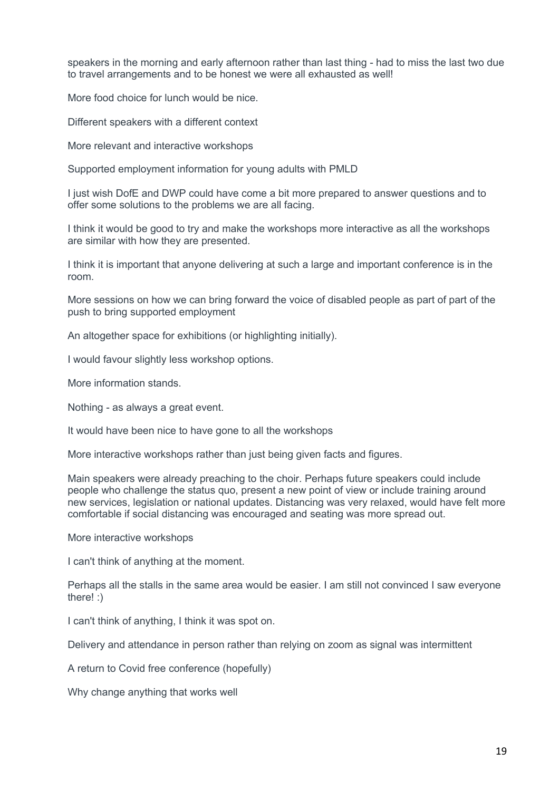speakers in the morning and early afternoon rather than last thing - had to miss the last two due to travel arrangements and to be honest we were all exhausted as well!

More food choice for lunch would be nice.

Different speakers with a different context

More relevant and interactive workshops

Supported employment information for young adults with PMLD

I just wish DofE and DWP could have come a bit more prepared to answer questions and to offer some solutions to the problems we are all facing.

I think it would be good to try and make the workshops more interactive as all the workshops are similar with how they are presented.

I think it is important that anyone delivering at such a large and important conference is in the room.

More sessions on how we can bring forward the voice of disabled people as part of part of the push to bring supported employment

An altogether space for exhibitions (or highlighting initially).

I would favour slightly less workshop options.

More information stands.

Nothing - as always a great event.

It would have been nice to have gone to all the workshops

More interactive workshops rather than just being given facts and figures.

Main speakers were already preaching to the choir. Perhaps future speakers could include people who challenge the status quo, present a new point of view or include training around new services, legislation or national updates. Distancing was very relaxed, would have felt more comfortable if social distancing was encouraged and seating was more spread out.

More interactive workshops

I can't think of anything at the moment.

Perhaps all the stalls in the same area would be easier. I am still not convinced I saw everyone there! :)

I can't think of anything, I think it was spot on.

Delivery and attendance in person rather than relying on zoom as signal was intermittent

A return to Covid free conference (hopefully)

Why change anything that works well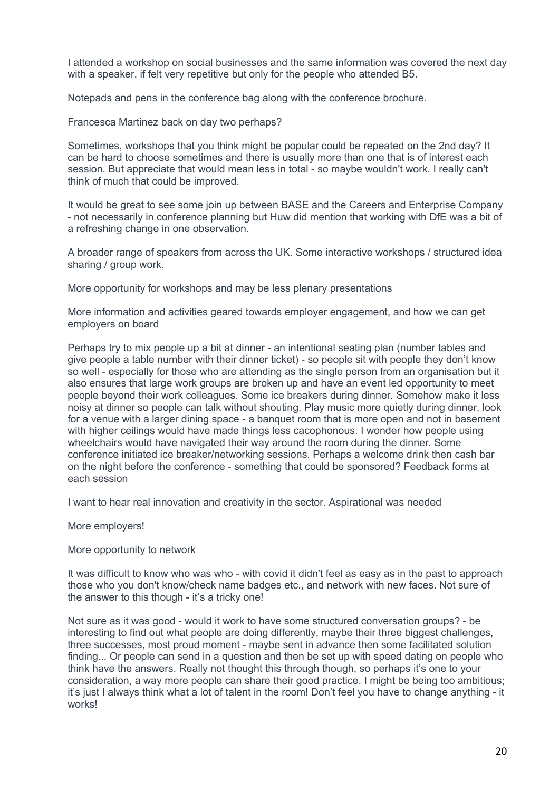I attended a workshop on social businesses and the same information was covered the next day with a speaker. if felt very repetitive but only for the people who attended B5.

Notepads and pens in the conference bag along with the conference brochure.

Francesca Martinez back on day two perhaps?

Sometimes, workshops that you think might be popular could be repeated on the 2nd day? It can be hard to choose sometimes and there is usually more than one that is of interest each session. But appreciate that would mean less in total - so maybe wouldn't work. I really can't think of much that could be improved.

It would be great to see some join up between BASE and the Careers and Enterprise Company - not necessarily in conference planning but Huw did mention that working with DfE was a bit of a refreshing change in one observation.

A broader range of speakers from across the UK. Some interactive workshops / structured idea sharing / group work.

More opportunity for workshops and may be less plenary presentations

More information and activities geared towards employer engagement, and how we can get employers on board

Perhaps try to mix people up a bit at dinner - an intentional seating plan (number tables and give people a table number with their dinner ticket) - so people sit with people they don't know so well - especially for those who are attending as the single person from an organisation but it also ensures that large work groups are broken up and have an event led opportunity to meet people beyond their work colleagues. Some ice breakers during dinner. Somehow make it less noisy at dinner so people can talk without shouting. Play music more quietly during dinner, look for a venue with a larger dining space - a banquet room that is more open and not in basement with higher ceilings would have made things less cacophonous. I wonder how people using wheelchairs would have navigated their way around the room during the dinner. Some conference initiated ice breaker/networking sessions. Perhaps a welcome drink then cash bar on the night before the conference - something that could be sponsored? Feedback forms at each session

I want to hear real innovation and creativity in the sector. Aspirational was needed

More employers!

More opportunity to network

It was difficult to know who was who - with covid it didn't feel as easy as in the past to approach those who you don't know/check name badges etc., and network with new faces. Not sure of the answer to this though - it's a tricky one!

Not sure as it was good - would it work to have some structured conversation groups? - be interesting to find out what people are doing differently, maybe their three biggest challenges, three successes, most proud moment - maybe sent in advance then some facilitated solution finding... Or people can send in a question and then be set up with speed dating on people who think have the answers. Really not thought this through though, so perhaps it's one to your consideration, a way more people can share their good practice. I might be being too ambitious; it's just I always think what a lot of talent in the room! Don't feel you have to change anything - it works!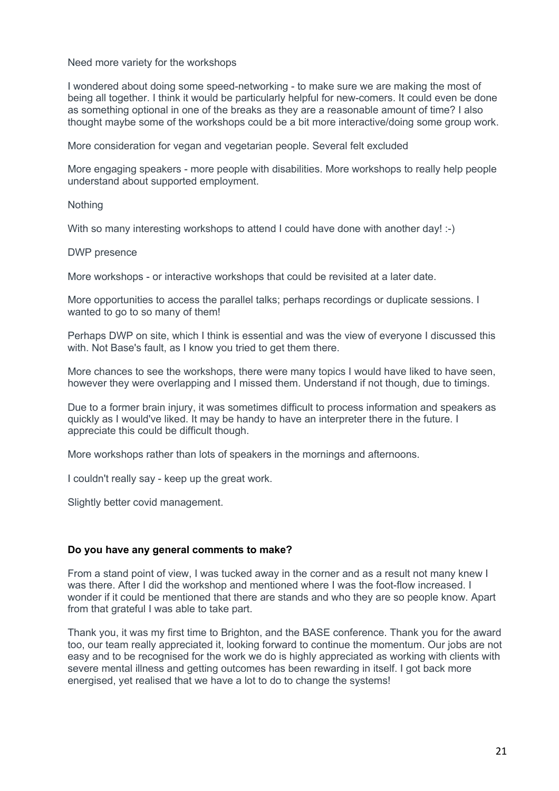Need more variety for the workshops

I wondered about doing some speed-networking - to make sure we are making the most of being all together. I think it would be particularly helpful for new-comers. It could even be done as something optional in one of the breaks as they are a reasonable amount of time? I also thought maybe some of the workshops could be a bit more interactive/doing some group work.

More consideration for vegan and vegetarian people. Several felt excluded

More engaging speakers - more people with disabilities. More workshops to really help people understand about supported employment.

**Nothing** 

With so many interesting workshops to attend I could have done with another day! :-)

DWP presence

More workshops - or interactive workshops that could be revisited at a later date.

More opportunities to access the parallel talks; perhaps recordings or duplicate sessions. I wanted to go to so many of them!

Perhaps DWP on site, which I think is essential and was the view of everyone I discussed this with. Not Base's fault, as I know you tried to get them there.

More chances to see the workshops, there were many topics I would have liked to have seen, however they were overlapping and I missed them. Understand if not though, due to timings.

Due to a former brain injury, it was sometimes difficult to process information and speakers as quickly as I would've liked. It may be handy to have an interpreter there in the future. I appreciate this could be difficult though.

More workshops rather than lots of speakers in the mornings and afternoons.

I couldn't really say - keep up the great work.

Slightly better covid management.

## **Do you have any general comments to make?**

From a stand point of view, I was tucked away in the corner and as a result not many knew I was there. After I did the workshop and mentioned where I was the foot-flow increased. I wonder if it could be mentioned that there are stands and who they are so people know. Apart from that grateful I was able to take part.

Thank you, it was my first time to Brighton, and the BASE conference. Thank you for the award too, our team really appreciated it, looking forward to continue the momentum. Our jobs are not easy and to be recognised for the work we do is highly appreciated as working with clients with severe mental illness and getting outcomes has been rewarding in itself. I got back more energised, yet realised that we have a lot to do to change the systems!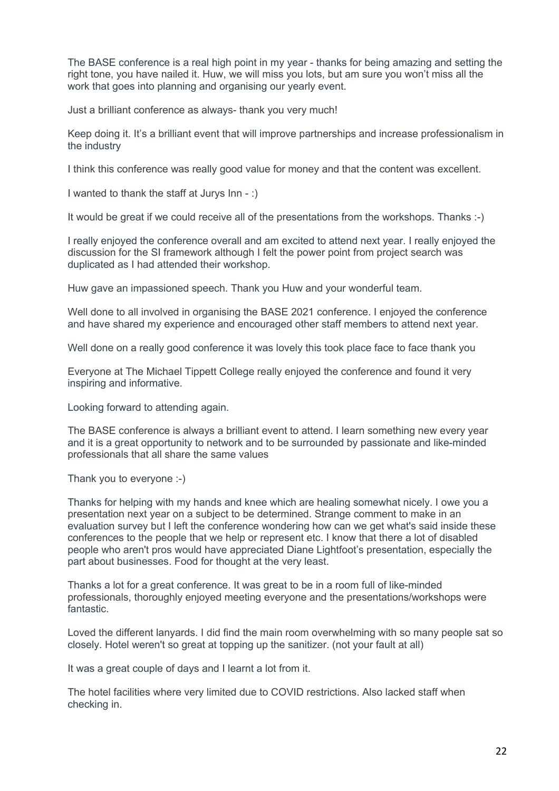The BASE conference is a real high point in my year - thanks for being amazing and setting the right tone, you have nailed it. Huw, we will miss you lots, but am sure you won't miss all the work that goes into planning and organising our yearly event.

Just a brilliant conference as always- thank you very much!

Keep doing it. It's a brilliant event that will improve partnerships and increase professionalism in the industry

I think this conference was really good value for money and that the content was excellent.

I wanted to thank the staff at Jurys Inn - :)

It would be great if we could receive all of the presentations from the workshops. Thanks :-)

I really enjoyed the conference overall and am excited to attend next year. I really enjoyed the discussion for the SI framework although I felt the power point from project search was duplicated as I had attended their workshop.

Huw gave an impassioned speech. Thank you Huw and your wonderful team.

Well done to all involved in organising the BASE 2021 conference. I enjoyed the conference and have shared my experience and encouraged other staff members to attend next year.

Well done on a really good conference it was lovely this took place face to face thank you

Everyone at The Michael Tippett College really enjoyed the conference and found it very inspiring and informative.

Looking forward to attending again.

The BASE conference is always a brilliant event to attend. I learn something new every year and it is a great opportunity to network and to be surrounded by passionate and like-minded professionals that all share the same values

Thank you to everyone :-)

Thanks for helping with my hands and knee which are healing somewhat nicely. I owe you a presentation next year on a subject to be determined. Strange comment to make in an evaluation survey but I left the conference wondering how can we get what's said inside these conferences to the people that we help or represent etc. I know that there a lot of disabled people who aren't pros would have appreciated Diane Lightfoot's presentation, especially the part about businesses. Food for thought at the very least.

Thanks a lot for a great conference. It was great to be in a room full of like-minded professionals, thoroughly enjoyed meeting everyone and the presentations/workshops were fantastic.

Loved the different lanyards. I did find the main room overwhelming with so many people sat so closely. Hotel weren't so great at topping up the sanitizer. (not your fault at all)

It was a great couple of days and I learnt a lot from it.

The hotel facilities where very limited due to COVID restrictions. Also lacked staff when checking in.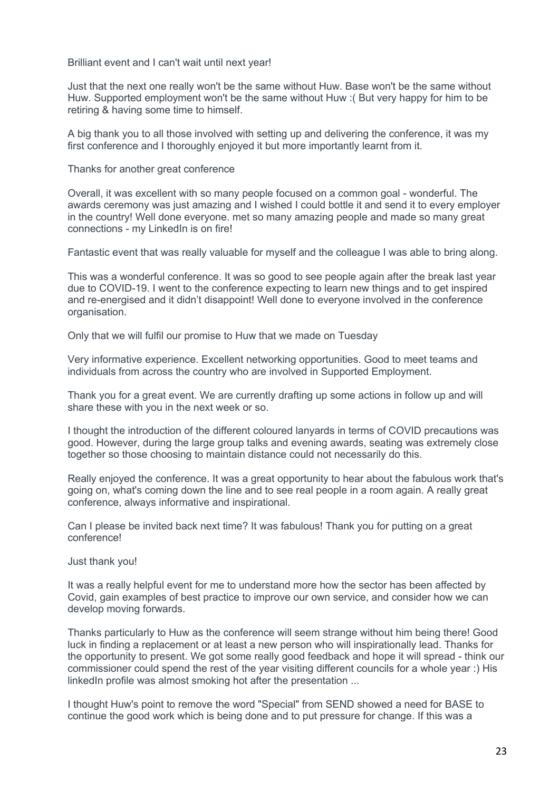Brilliant event and I can't wait until next year!

Just that the next one really won't be the same without Huw. Base won't be the same without Huw. Supported employment won't be the same without Huw :( But very happy for him to be retiring & having some time to himself.

A big thank you to all those involved with setting up and delivering the conference, it was my first conference and I thoroughly enjoyed it but more importantly learnt from it.

Thanks for another great conference

Overall, it was excellent with so many people focused on a common goal - wonderful. The awards ceremony was just amazing and I wished I could bottle it and send it to every employer in the country! Well done everyone. met so many amazing people and made so many great connections - my LinkedIn is on fire!

Fantastic event that was really valuable for myself and the colleague I was able to bring along.

This was a wonderful conference. It was so good to see people again after the break last year due to COVID-19. I went to the conference expecting to learn new things and to get inspired and re-energised and it didn't disappoint! Well done to everyone involved in the conference organisation.

Only that we will fulfil our promise to Huw that we made on Tuesday

Very informative experience. Excellent networking opportunities. Good to meet teams and individuals from across the country who are involved in Supported Employment.

Thank you for a great event. We are currently drafting up some actions in follow up and will share these with you in the next week or so.

I thought the introduction of the different coloured lanyards in terms of COVID precautions was good. However, during the large group talks and evening awards, seating was extremely close together so those choosing to maintain distance could not necessarily do this.

Really enjoyed the conference. It was a great opportunity to hear about the fabulous work that's going on, what's coming down the line and to see real people in a room again. A really great conference, always informative and inspirational.

Can I please be invited back next time? It was fabulous! Thank you for putting on a great conference!

Just thank you!

It was a really helpful event for me to understand more how the sector has been affected by Covid, gain examples of best practice to improve our own service, and consider how we can develop moving forwards.

Thanks particularly to Huw as the conference will seem strange without him being there! Good luck in finding a replacement or at least a new person who will inspirationally lead. Thanks for the opportunity to present. We got some really good feedback and hope it will spread - think our commissioner could spend the rest of the year visiting different councils for a whole year :) His linkedIn profile was almost smoking hot after the presentation ...

I thought Huw's point to remove the word "Special" from SEND showed a need for BASE to continue the good work which is being done and to put pressure for change. If this was a